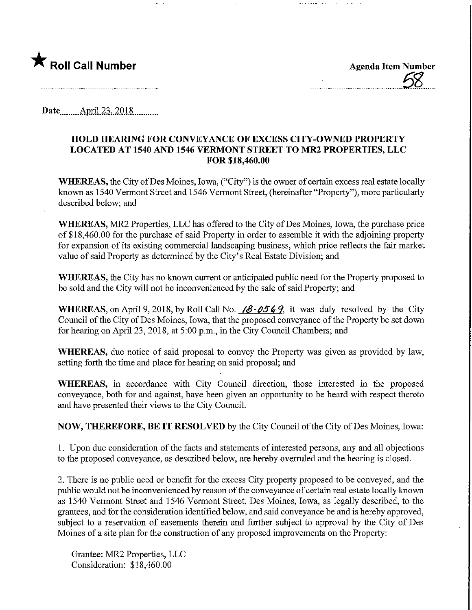

Date........ Ap.nl.23,.201.8.

### HOLD HEARING FOR CONVEYANCE OF EXCESS CITY-OWNED PROPERTY LOCATED AT 1540 AND 1546 VERMONT STREET TO MR2 PROPERTIES, LLC FOR \$18,460.00

WHEREAS, the City of Des Moines, Iowa, ("City") is the owner of certain excess real estate locally known as 1540 Vermont Street and 1546 Vermont Street, (hereinafter "Property"), more particularly described below; and

WHEREAS, MR2 Properties, LLC has offered to the City of Des Moines, Iowa, the purchase price of \$ 18,460.00 for the purchase of said Property m order to assemble it with the adjoining property for expansion of its existing commercial landscaping business, which price reflects the fair market value of said Property as determined by the City's Real Estate Division; and

WHEREAS, the City has no known current or anticipated public need for the Property proposed to be sold and the City will not be inconvenienced by the sale of said Property; and

WHEREAS, on April 9, 2018, by Roll Call No.  $\angle 8\text{-} 0569$ , it was duly resolved by the City Council of the City of Des Moines, Iowa, that the proposed conveyance of the Property be set down for hearing on April 23, 2018, at 5:00 p.m., in the City Council Chambers; and

WHEREAS, due notice of said proposal to convey the Property was given as provided by law, setting forth the time and place for hearing on said proposal; and

WHEREAS, in accordance with City Council direction, those interested in the proposed conveyance, both for and against, have been given an opportunity to be heard with respect thereto and have presented their views to the City Council.

NOW, THEREFORE, BE IT RESOLVED by the City Council of the City of Des Moines, Iowa:

1. Upon due consideration of the facts and statements of interested persons, any and all objections to the proposed conveyance, as described below, are hereby overruled and the hearing is closed.

2. There is no public need or benefit for the excess City property proposed to be conveyed, and the public would not be inconvenienced by reason of the conveyance of certain real estate locally known as 1540 Vermont Street and 1546 Vermont Street, Des Moines, Iowa, as legally described, to the grantees, and for the consideration identified below, and said conveyance be and is hereby approved, subject to a reservation of easements therein and further subject to approval by the City of Des Moines of a site plan for the construction of any proposed improvements on the Property:

Grantee: MR2 Properties, LLC Consideration: \$18,460.00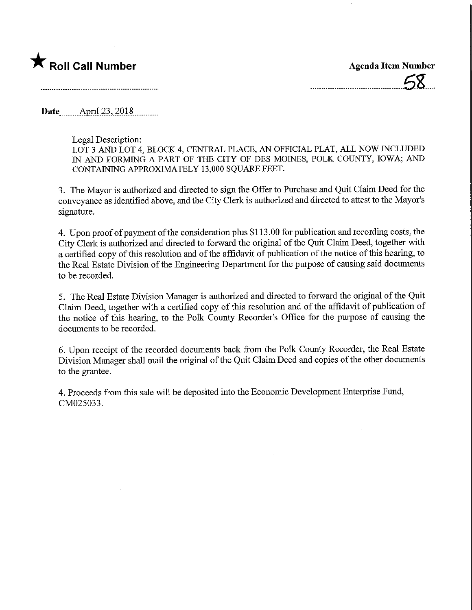## $\bigstar$  Roll Call Number  $\bigstar$  Agenda Item Number

 $58<sub>h</sub>$ 

Date April 23, 2018

#### Legal Description:

LOT 3 AND LOT 4, BLOCK 4, CENTRAL PLACE, AN OFFICIAL PLAT, ALL NOW INCLUDED IN AND FORMING A PART OF THE CITY OF DES MOINES, POLK COUNTY, IOWA; AND CONTAINING APPROXIMATELY 13,000 SQUARE FEET.

3. The Mayor is authorized and directed to sign the Offer to Purchase and Quit Claim Deed for the conveyance as identified above, and the City Clerk is authorized and directed to attest to the Mayor's signature.

4. Upon proof of payment of the consideration plus \$113.00 for publication and recording costs, the City Clerk is authorized and directed to forward the original of the Quit Claim Deed, together with a certified copy of this resolution and of the affidavit of publication of the notice of this hearing, to the Real Estate Division of the Engineering Department for the purpose of causing said documents to be recorded.

5. The Real Estate Division Manager is authorized and directed to forward the original of the Quit Claim Deed, together with a certified copy of this resolution and of the affidavit of publication of the notice of this hearing, to the Polk County Recorder's Office for the purpose of causing the documents to be recorded.

6. Upon receipt of the recorded documents back from the Polk County Recorder, the Real Estate Division Manager shall mail the original of the Quit Claim Deed and copies of the other documents to the grantee.

4. Proceeds from this sale will be deposited into the Economic Development Enterprise Fund, CM025033.